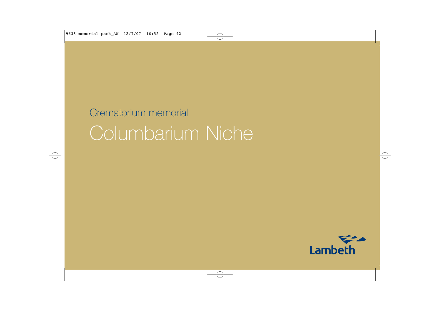## Crematorium memorial Columbarium Niche

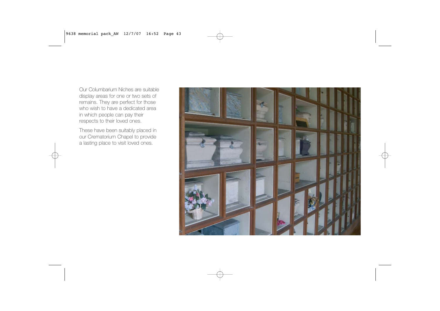Our Columbarium Niches are suitabledisplay areas for one or two sets of remains. They are perfect for those who wish to have a dedicated areain which people can pay their respects to their loved ones.

These have been suitably placed in our Crematorium Chapel to provide a lasting place to visit loved ones.

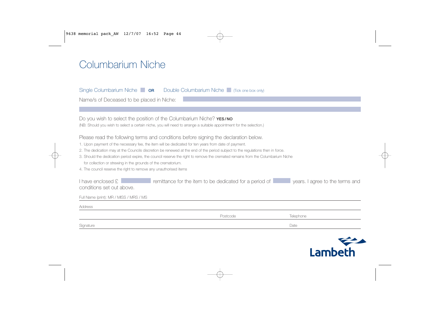## Columbarium Niche

Single Columbarium Niche **OR** Double Columbarium Niche (Tick one box only)

Name/s of Deceased to be placed in Niche:

| Do you wish to select the position of the Columbarium Niche? <b>YES/NO</b><br>(NB: Should you wish to select a certain niche, you will need to arrange a suitable appointment for the selection.)                                                                                                                                                                                                                                                                                                                                                                                                       |          |           |  |  |
|---------------------------------------------------------------------------------------------------------------------------------------------------------------------------------------------------------------------------------------------------------------------------------------------------------------------------------------------------------------------------------------------------------------------------------------------------------------------------------------------------------------------------------------------------------------------------------------------------------|----------|-----------|--|--|
| Please read the following terms and conditions before signing the declaration below.<br>1. Upon payment of the necessary fee, the item will be dedicated for ten years from date of payment.<br>2. The dedication may at the Councils discretion be renewed at the end of the period subject to the regulations then in force.<br>3. Should the dedication period expire, the council reserve the right to remove the cremated remains from the Columbarium Niche<br>for collection or strewing in the grounds of the crematorium.<br>4. The council reserve the right to remove any unauthorised items |          |           |  |  |
| I have enclosed £<br>remittance for the item to be dedicated for a period of<br>years. I agree to the terms and<br>conditions set out above.                                                                                                                                                                                                                                                                                                                                                                                                                                                            |          |           |  |  |
| Full Name (print): MR / MISS / MRS / MS                                                                                                                                                                                                                                                                                                                                                                                                                                                                                                                                                                 |          |           |  |  |
| Address                                                                                                                                                                                                                                                                                                                                                                                                                                                                                                                                                                                                 |          |           |  |  |
|                                                                                                                                                                                                                                                                                                                                                                                                                                                                                                                                                                                                         | Postcode | Telephone |  |  |
| Signature                                                                                                                                                                                                                                                                                                                                                                                                                                                                                                                                                                                               |          | Date      |  |  |